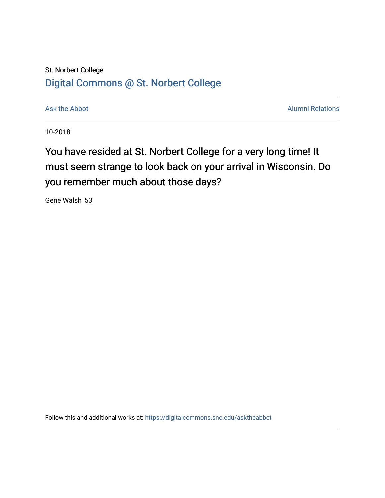## St. Norbert College [Digital Commons @ St. Norbert College](https://digitalcommons.snc.edu/)

[Ask the Abbot](https://digitalcommons.snc.edu/asktheabbot) **Alumni Relations** Ask the Abbot [Alumni Relations](https://digitalcommons.snc.edu/alumni) and Alumni Relations and Alumni Relations and Alumni Relations and Alumni Relations and Alumni Relations and Alumni Relations and Alumni Relations and Alumni

10-2018

# You have resided at St. Norbert College for a very long time! It must seem strange to look back on your arrival in Wisconsin. Do you remember much about those days?

Gene Walsh '53

Follow this and additional works at: [https://digitalcommons.snc.edu/asktheabbot](https://digitalcommons.snc.edu/asktheabbot?utm_source=digitalcommons.snc.edu%2Fasktheabbot%2F107&utm_medium=PDF&utm_campaign=PDFCoverPages)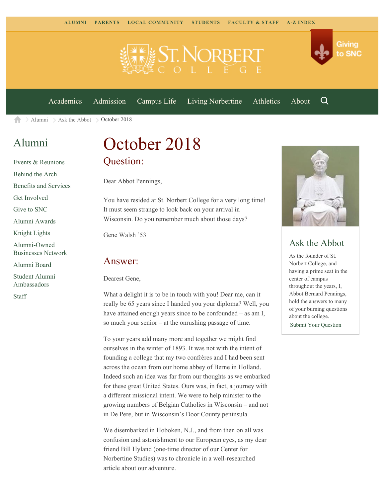

[Academics](https://www.snc.edu/academics) [Admission](https://www.snc.edu/admission) [Campus Life](https://www.snc.edu/campuslife) [Living Norbertine](https://www.snc.edu/livingnorbertine) [Athletics](https://www.snc.edu/athletics) [About](https://www.snc.edu/about)

Q

Giving

to SNC

 $\geq$  [Alumni](https://www.snc.edu/alumni/)  $\geq$  [Ask the Abbot](https://www.snc.edu/alumni/abbot/)  $\geq$  October 2018 合

## [Alumni](https://www.snc.edu/alumni/index.html)

[Events & Reunions](https://www.snc.edu/alumni/event/index.html) [Behind the Arch](https://www.snc.edu/alumni/event/behindthearch/) [Benefits and Services](https://www.snc.edu/alumni/benefits.html) [Get Involved](https://www.snc.edu/alumni/getinvolved.html) [Give to SNC](http://giving.snc.edu/) [Alumni Awards](https://www.snc.edu/alumni/awards/index.html) [Knight Lights](https://www.snc.edu/alumni/knightlights/index.html) [Alumni-Owned](https://www.snc.edu/alumni/directory/index.html) [Businesses Network](https://www.snc.edu/alumni/directory/index.html) [Alumni Board](https://www.snc.edu/alumni/alumniboard.html) [Student Alumni](https://www.snc.edu/alumni/saa.html) [Ambassadors](https://www.snc.edu/alumni/saa.html) [Staff](https://www.snc.edu/alumni/contactus.html)

# October 2018 Question:

Dear Abbot Pennings,

You have resided at St. Norbert College for a very long time! It must seem strange to look back on your arrival in Wisconsin. Do you remember much about those days?

Gene Walsh '53

#### Answer:

Dearest Gene,

What a delight it is to be in touch with you! Dear me, can it really be 65 years since I handed you your diploma? Well, you have attained enough years since to be confounded – as am I, so much your senior – at the onrushing passage of time.

To your years add many more and together we might find ourselves in the winter of 1893. It was not with the intent of founding a college that my two confrères and I had been sent across the ocean from our home abbey of Berne in Holland. Indeed such an idea was far from our thoughts as we embarked for these great United States. Ours was, in fact, a journey with a different missional intent. We were to help minister to the growing numbers of Belgian Catholics in Wisconsin – and not in De Pere, but in Wisconsin's Door County peninsula.

We disembarked in Hoboken, N.J., and from then on all was confusion and astonishment to our European eyes, as my dear friend Bill Hyland (one-time director of our Center for Norbertine Studies) was to chronicle in a well-researched article about our adventure.



### Ask the Abbot

As the founder of St. Norbert College, and having a prime seat in the center of campus throughout the years, I, Abbot Bernard Pennings, hold the answers to many of your burning questions about the college. [Submit Your Question](https://www.snc.edu/alumni/abbot/index.html)